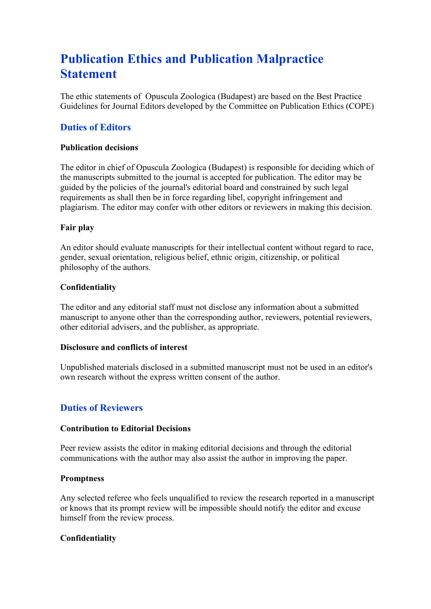# **Publication Ethics and Publication Malpractice Statement**

The ethic statements of Opuscula Zoologica (Budapest) are based on the Best Practice Guidelines for Journal Editors developed by the Committee on Publication Ethics (COPE)

# **Duties of Editors**

# **Publication decisions**

The editor in chief of Opuscula Zoologica (Budapest) is responsible for deciding which of the manuscripts submitted to the journal is accepted for publication. The editor may be guided by the policies of the journal's editorial board and constrained by such legal requirements as shall then be in force regarding libel, copyright infringement and plagiarism. The editor may confer with other editors or reviewers in making this decision.

# **Fair play**

An editor should evaluate manuscripts for their intellectual content without regard to race, gender, sexual orientation, religious belief, ethnic origin, citizenship, or political philosophy of the authors.

#### **Confidentiality**

The editor and any editorial staff must not disclose any information about a submitted manuscript to anyone other than the corresponding author, reviewers, potential reviewers, other editorial advisers, and the publisher, as appropriate.

#### **Disclosure and conflicts of interest**

Unpublished materials disclosed in a submitted manuscript must not be used in an editor's own research without the express written consent of the author.

# **Duties of Reviewers**

#### **Contribution to Editorial Decisions**

Peer review assists the editor in making editorial decisions and through the editorial communications with the author may also assist the author in improving the paper.

# **Promptness**

Any selected referee who feels unqualified to review the research reported in a manuscript or knows that its prompt review will be impossible should notify the editor and excuse himself from the review process.

# **Confidentiality**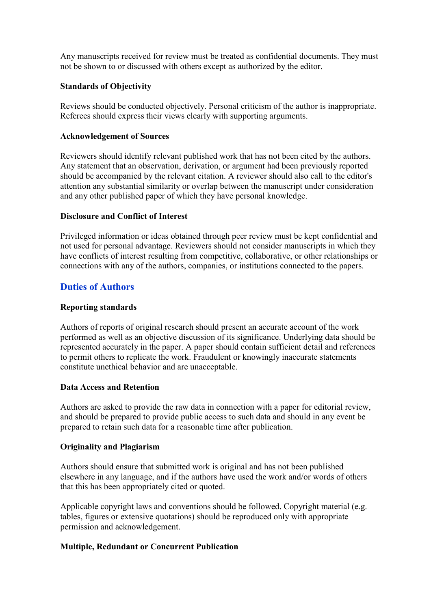Any manuscripts received for review must be treated as confidential documents. They must not be shown to or discussed with others except as authorized by the editor.

#### **Standards of Objectivity**

Reviews should be conducted objectively. Personal criticism of the author is inappropriate. Referees should express their views clearly with supporting arguments.

#### **Acknowledgement of Sources**

Reviewers should identify relevant published work that has not been cited by the authors. Any statement that an observation, derivation, or argument had been previously reported should be accompanied by the relevant citation. A reviewer should also call to the editor's attention any substantial similarity or overlap between the manuscript under consideration and any other published paper of which they have personal knowledge.

#### **Disclosure and Conflict of Interest**

Privileged information or ideas obtained through peer review must be kept confidential and not used for personal advantage. Reviewers should not consider manuscripts in which they have conflicts of interest resulting from competitive, collaborative, or other relationships or connections with any of the authors, companies, or institutions connected to the papers.

# **Duties of Authors**

## **Reporting standards**

Authors of reports of original research should present an accurate account of the work performed as well as an objective discussion of its significance. Underlying data should be represented accurately in the paper. A paper should contain sufficient detail and references to permit others to replicate the work. Fraudulent or knowingly inaccurate statements constitute unethical behavior and are unacceptable.

# **Data Access and Retention**

Authors are asked to provide the raw data in connection with a paper for editorial review, and should be prepared to provide public access to such data and should in any event be prepared to retain such data for a reasonable time after publication.

# **Originality and Plagiarism**

Authors should ensure that submitted work is original and has not been published elsewhere in any language, and if the authors have used the work and/or words of others that this has been appropriately cited or quoted.

Applicable copyright laws and conventions should be followed. Copyright material (e.g. tables, figures or extensive quotations) should be reproduced only with appropriate permission and acknowledgement.

# **Multiple, Redundant or Concurrent Publication**